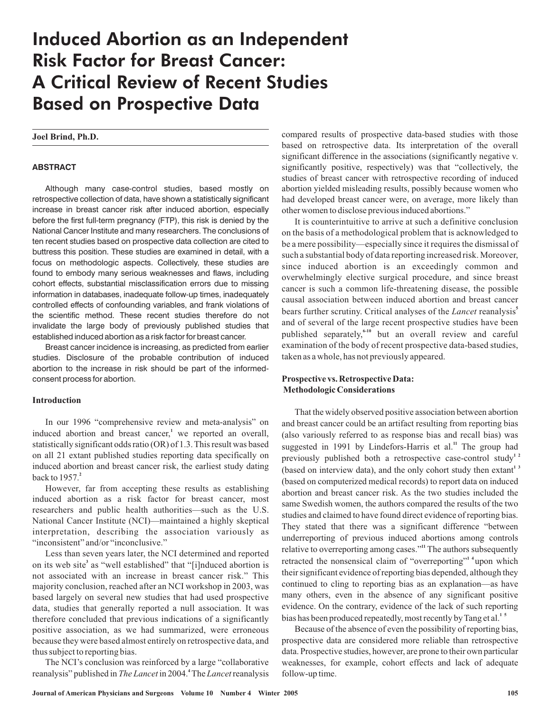# Induced Abortion as an Independent Risk Factor for Breast Cancer: A Critical Review of Recent Studies Based on Prospective Data

**Joel Brind, Ph.D.**

#### **ABSTRACT**

Although many case-control studies, based mostly on retrospective collection of data, have shown a statistically significant increase in breast cancer risk after induced abortion, especially before the first full-term pregnancy (FTP), this risk is denied by the National Cancer Institute and many researchers. The conclusions of ten recent studies based on prospective data collection are cited to buttress this position. These studies are examined in detail, with a focus on methodologic aspects. Collectively, these studies are found to embody many serious weaknesses and flaws, including cohort effects, substantial misclassification errors due to missing information in databases, inadequate follow-up times, inadequately controlled effects of confounding variables, and frank violations of the scientific method. These recent studies therefore do not invalidate the large body of previously published studies that established induced abortion as a risk factor for breast cancer.

Breast cancer incidence is increasing, as predicted from earlier studies. Disclosure of the probable contribution of induced abortion to the increase in risk should be part of the informedconsent process for abortion.

#### **Introduction**

In our 1996 "comprehensive review and meta-analysis" on induced abortion and breast cancer,<sup>1</sup> we reported an overall, statistically significant odds ratio (OR) of 1.3. This result was based on all 21 extant published studies reporting data specifically on induced abortion and breast cancer risk, the earliest study dating back to 1957. **2**

However, far from accepting these results as establishing induced abortion as a risk factor for breast cancer, most researchers and public health authorities—such as the U.S. National Cancer Institute (NCI)—maintained a highly skeptical interpretation, describing the association variously as "inconsistent" and/or "inconclusive."

Less than seven years later, the NCI determined and reported on its web site<sup>3</sup> as "well established" that "[i]nduced abortion is not associated with an increase in breast cancer risk." This majority conclusion, reached after an NCI workshop in 2003, was based largely on several new studies that had used prospective data, studies that generally reported a null association. It was therefore concluded that previous indications of a significantly positive association, as we had summarized, were erroneous because they were based almost entirely on retrospective data, and thus subject to reporting bias.

The NCI's conclusion was reinforced by a large "collaborative reanalysis" published in *The Lancet* in 2004.<sup>4</sup> The *Lancet* reanalysis

compared results of prospective data-based studies with those based on retrospective data. Its interpretation of the overall significant difference in the associations (significantly negative v. significantly positive, respectively) was that "collectively, the studies of breast cancer with retrospective recording of induced abortion yielded misleading results, possibly because women who had developed breast cancer were, on average, more likely than other women to disclose previous induced abortions."

It is counterintuitive to arrive at such a definitive conclusion on the basis of a methodological problem that is acknowledged to be a mere possibility—especially since it requires the dismissal of such a substantial body of data reporting increased risk. Moreover, since induced abortion is an exceedingly common and overwhelmingly elective surgical procedure, and since breast cancer is such a common life-threatening disease, the possible causal association between induced abortion and breast cancer bears further scrutiny. Critical analyses of the Lancet reanalysis<sup>5</sup> and of several of the large recent prospective studies have been published separately,<sup>6-10</sup> but an overall review and careful examination of the body of recent prospective data-based studies, taken as a whole, has not previously appeared.

## **Prospective vs. Retrospective Data: Methodologic Considerations**

That the widely observed positive association between abortion and breast cancer could be an artifact resulting from reporting bias (also variously referred to as response bias and recall bias) was suggested in 1991 by Lindefors-Harris et al.<sup>11</sup> The group had previously published both a retrospective case-control study<sup>12</sup> (based on interview data), and the only cohort study then extant<sup>13</sup> (based on computerized medical records) to report data on induced abortion and breast cancer risk. As the two studies included the same Swedish women, the authors compared the results of the two studies and claimed to have found direct evidence of reporting bias. They stated that there was a significant difference "between underreporting of previous induced abortions among controls relative to overreporting among cases."<sup>11</sup> The authors subsequently retracted the nonsensical claim of "overreporting"<sup>14</sup> upon which their significant evidence of reporting bias depended, although they continued to cling to reporting bias as an explanation—as have many others, even in the absence of any significant positive evidence. On the contrary, evidence of the lack of such reporting bias has been produced repeatedly, most recently by Tang et al. **1 5**

Because of the absence of even the possibility of reporting bias, prospective data are considered more reliable than retrospective data. Prospective studies, however, are prone to their own particular weaknesses, for example, cohort effects and lack of adequate follow-up time.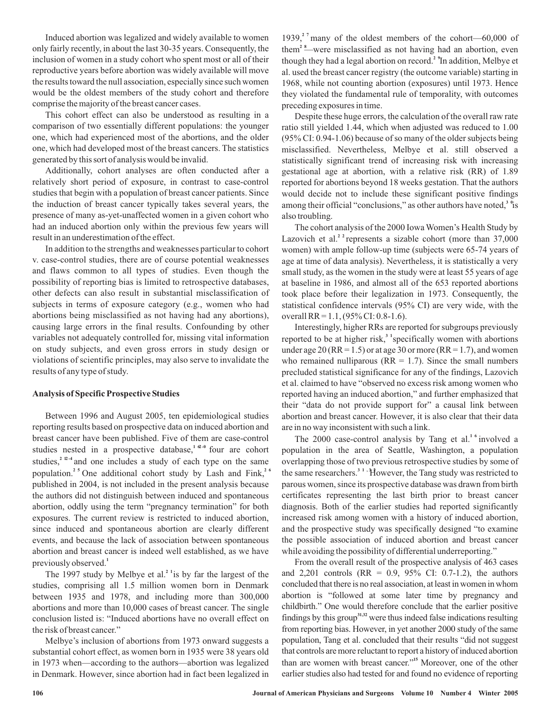Induced abortion was legalized and widely available to women only fairly recently, in about the last 30-35 years. Consequently, the inclusion of women in a study cohort who spent most or all of their reproductive years before abortion was widely available will move the results toward the null association, especially since such women would be the oldest members of the study cohort and therefore comprise the majority of the breast cancer cases.

This cohort effect can also be understood as resulting in a comparison of two essentially different populations: the younger one, which had experienced most of the abortions, and the older one, which had developed most of the breast cancers. The statistics generated by this sort of analysis would be invalid.

Additionally, cohort analyses are often conducted after a relatively short period of exposure, in contrast to case-control studies that begin with a population of breast cancer patients. Since the induction of breast cancer typically takes several years, the presence of many as-yet-unaffected women in a given cohort who had an induced abortion only within the previous few years will result in an underestimation of the effect.

In addition to the strengths and weaknesses particular to cohort v. case-control studies, there are of course potential weaknesses and flaws common to all types of studies. Even though the possibility of reporting bias is limited to retrospective databases, other defects can also result in substantial misclassification of subjects in terms of exposure category (e.g., women who had abortions being misclassified as not having had any abortions), causing large errors in the final results. Confounding by other variables not adequately controlled for, missing vital information on study subjects, and even gross errors in study design or violations of scientific principles, may also serve to invalidate the results of any type of study.

### **Analysis of Specific Prospective Studies**

Between 1996 and August 2005, ten epidemiological studies reporting results based on prospective data on induced abortion and breast cancer have been published. Five of them are case-control studies nested in a prospective database,<sup> $1 \text{ } ^{\alpha -0}$ </sup> four are cohort studies,<sup> $2\pi$ -4</sup> and one includes a study of each type on the same population.<sup>25</sup> One additional cohort study by Lash and Fink,<sup>26</sup> published in 2004, is not included in the present analysis because the authors did not distinguish between induced and spontaneous abortion, oddly using the term "pregnancy termination" for both exposures. The current review is restricted to induced abortion, since induced and spontaneous abortion are clearly different events, and because the lack of association between spontaneous abortion and breast cancer is indeed well established, as we have previously observed. **1**

The 1997 study by Melbye et al.<sup>21</sup> is by far the largest of the studies, comprising all 1.5 million women born in Denmark between 1935 and 1978, and including more than 300,000 abortions and more than 10,000 cases of breast cancer. The single conclusion listed is: "Induced abortions have no overall effect on the risk of breast cancer."

Melbye's inclusion of abortions from 1973 onward suggests a substantial cohort effect, as women born in 1935 were 38 years old in 1973 when—according to the authors—abortion was legalized in Denmark. However, since abortion had in fact been legalized in

1939,<sup>2</sup> many of the oldest members of the cohort—60,000 of them<sup>2</sup> <sup>8</sup> – were misclassified as not having had an abortion, even though they had a legal abortion on record.<sup>2</sup> In addition, Melbye et al. used the breast cancer registry (the outcome variable) starting in 1968, while not counting abortion (exposures) until 1973. Hence they violated the fundamental rule of temporality, with outcomes preceding exposures in time.

Despite these huge errors, the calculation of the overall raw rate ratio still yielded 1.44, which when adjusted was reduced to 1.00 (95% CI: 0.94-1.06) because of so many of the older subjects being misclassified. Nevertheless, Melbye et al. still observed a statistically significant trend of increasing risk with increasing gestational age at abortion, with a relative risk (RR) of 1.89 reported for abortions beyond 18 weeks gestation. That the authors would decide not to include these significant positive findings among their official "conclusions," as other authors have noted,  $\overline{ }$ <sup>3</sup> of also troubling.

The cohort analysis of the 2000 IowaWomen's Health Study by Lazovich et al.<sup>2</sup> represents a sizable cohort (more than  $37,000$ women) with ample follow-up time (subjects were 65-74 years of age at time of data analysis). Nevertheless, it is statistically a very small study, as the women in the study were at least 55 years of age at baseline in 1986, and almost all of the 653 reported abortions took place before their legalization in 1973. Consequently, the statistical confidence intervals (95% CI) are very wide, with the overall RR = 1.1, (95% CI: 0.8-1.6).

Interestingly, higher RRs are reported for subgroups previously reported to be at higher risk,<sup>3</sup> specifically women with abortions under age 20 ( $RR = 1.5$ ) or at age 30 or more ( $RR = 1.7$ ), and women who remained nulliparous ( $RR = 1.7$ ). Since the small numbers precluded statistical significance for any of the findings, Lazovich et al. claimed to have "observed no excess risk among women who reported having an induced abortion," and further emphasized that their "data do not provide support for" a causal link between abortion and breast cancer. However, it is also clear that their data are in no way inconsistent with such a link.

The 2000 case-control analysis by Tang et al.<sup>16</sup> involved a population in the area of Seattle, Washington, a population overlapping those of two previous retrospective studies by some of the same researchers.<sup>31</sup>, However, the Tang study was restricted to parous women, since its prospective database was drawn from birth certificates representing the last birth prior to breast cancer diagnosis. Both of the earlier studies had reported significantly increased risk among women with a history of induced abortion, and the prospective study was specifically designed "to examine the possible association of induced abortion and breast cancer while avoiding the possibility of differential underreporting."

From the overall result of the prospective analysis of 463 cases and 2,201 controls (RR =  $0.9, 95\%$  CI: 0.7-1.2), the authors concluded that there is no real association, at least in women in whom abortion is "followed at some later time by pregnancy and childbirth." One would therefore conclude that the earlier positive findings by this group<sup>31,32</sup> were thus indeed false indications resulting from reporting bias. However, in yet another 2000 study of the same population, Tang et al. concluded that their results "did not suggest that controls are more reluctant to report a history of induced abortion than are women with breast cancer."<sup>15</sup> Moreover, one of the other earlier studies also had tested for and found no evidence of reporting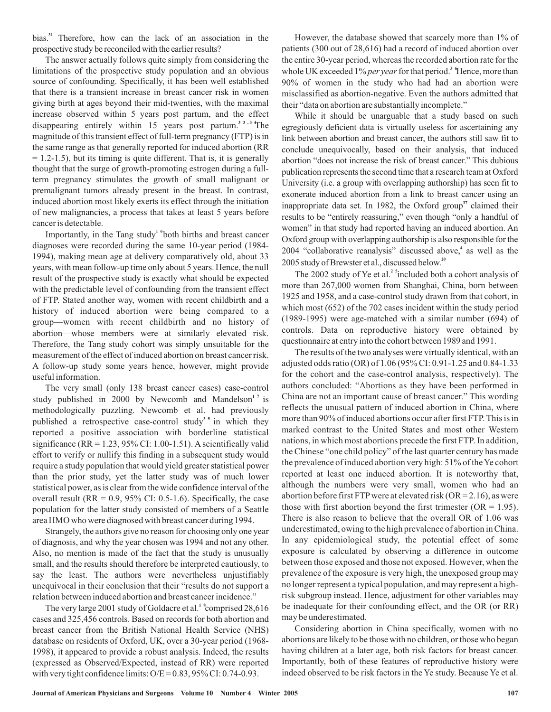bias.<sup>31</sup> Therefore, how can the lack of an association in the prospective study be reconciled with the earlier results?

The answer actually follows quite simply from considering the limitations of the prospective study population and an obvious source of confounding. Specifically, it has been well established that there is a transient increase in breast cancer risk in women giving birth at ages beyond their mid-twenties, with the maximal increase observed within 5 years post partum, and the effect disappearing entirely within 15 years post partum.<sup>33,34</sup>The magnitude of this transient effect of full-term pregnancy (FTP) is in the same range as that generally reported for induced abortion (RR  $= 1.2 - 1.5$ ), but its timing is quite different. That is, it is generally thought that the surge of growth-promoting estrogen during a fullterm pregnancy stimulates the growth of small malignant or premalignant tumors already present in the breast. In contrast, induced abortion most likely exerts its effect through the initiation of new malignancies, a process that takes at least 5 years before cancer is detectable.

Importantly, in the Tang study<sup>1</sup> both births and breast cancer diagnoses were recorded during the same 10-year period (1984- 1994), making mean age at delivery comparatively old, about 33 years, with mean follow-up time only about 5 years. Hence, the null result of the prospective study is exactly what should be expected with the predictable level of confounding from the transient effect of FTP. Stated another way, women with recent childbirth and a history of induced abortion were being compared to a group—women with recent childbirth and no history of abortion—whose members were at similarly elevated risk. Therefore, the Tang study cohort was simply unsuitable for the measurement of the effect of induced abortion on breast cancer risk. A follow-up study some years hence, however, might provide useful information.

The very small (only 138 breast cancer cases) case-control study published in 2000 by Newcomb and Mandelson<sup>17</sup> is methodologically puzzling. Newcomb et al. had previously published a retrospective case-control study<sup>35</sup> in which they reported a positive association with borderline statistical significance (RR =  $1.23$ , 95% CI:  $1.00-1.51$ ). A scientifically valid effort to verify or nullify this finding in a subsequent study would require a study population that would yield greater statistical power than the prior study, yet the latter study was of much lower statistical power, as is clear from the wide confidence interval of the overall result ( $RR = 0.9$ ,  $95\%$  CI: 0.5-1.6). Specifically, the case population for the latter study consisted of members of a Seattle area HMO who were diagnosed with breast cancer during 1994.

Strangely, the authors give no reason for choosing only one year of diagnosis, and why the year chosen was 1994 and not any other. Also, no mention is made of the fact that the study is unusually small, and the results should therefore be interpreted cautiously, to say the least. The authors were nevertheless unjustifiably unequivocal in their conclusion that their "results do not support a relation between induced abortion and breast cancer incidence."

The very large 2001 study of Goldacre et al.<sup>1</sup> comprised 28,616 cases and 325,456 controls. Based on records for both abortion and breast cancer from the British National Health Service (NHS) database on residents of Oxford, UK, over a 30-year period (1968- 1998), it appeared to provide a robust analysis. Indeed, the results (expressed as Observed/Expected, instead of RR) were reported with very tight confidence limits:  $O/E = 0.83, 95\%$  CI: 0.74-0.93.

However, the database showed that scarcely more than 1% of patients (300 out of 28,616) had a record of induced abortion over the entire 30-year period, whereas the recorded abortion rate for the whole UK exceeded 1% *per year* for that period.<sup>3</sup> Hence, more than 90% of women in the study who had had an abortion were misclassified as abortion-negative. Even the authors admitted that their "data on abortion are substantially incomplete."

While it should be unarguable that a study based on such egregiously deficient data is virtually useless for ascertaining any link between abortion and breast cancer, the authors still saw fit to conclude unequivocally, based on their analysis, that induced abortion "does not increase the risk of breast cancer." This dubious publication represents the second time that a research team at Oxford University (i.e. a group with overlapping authorship) has seen fit to exonerate induced abortion from a link to breast cancer using an inappropriate data set. In 1982, the Oxford group<sup>37</sup> claimed their results to be "entirely reassuring," even though "only a handful of women" in that study had reported having an induced abortion. An Oxford group with overlapping authorship is also responsible for the 2004 "collaborative reanalysis" discussed above,<sup>4</sup> as well as the 2005 study of Brewster et al., discussed below. **20**

The 2002 study of Ye et al.<sup>2</sup> included both a cohort analysis of more than 267,000 women from Shanghai, China, born between 1925 and 1958, and a case-control study drawn from that cohort, in which most (652) of the 702 cases incident within the study period (1989-1995) were age-matched with a similar number (694) of controls. Data on reproductive history were obtained by questionnaire at entry into the cohort between 1989 and 1991.

The results of the two analyses were virtually identical, with an adjusted odds ratio (OR) of 1.06 (95% CI: 0.91-1.25 and 0.84-1.33 for the cohort and the case-control analysis, respectively). The authors concluded: "Abortions as they have been performed in China are not an important cause of breast cancer." This wording reflects the unusual pattern of induced abortion in China, where more than 90% of induced abortions occur after first FTP. This is in marked contrast to the United States and most other Western nations, in which most abortions precede the first FTP. In addition, the Chinese "one child policy" of the last quarter century has made the prevalence of induced abortion very high: 51% of the Ye cohort reported at least one induced abortion. It is noteworthy that, although the numbers were very small, women who had an abortion before first FTP were at elevated risk ( $OR = 2.16$ ), as were those with first abortion beyond the first trimester ( $OR = 1.95$ ). There is also reason to believe that the overall OR of 1.06 was underestimated, owing to the high prevalence of abortion in China. In any epidemiological study, the potential effect of some exposure is calculated by observing a difference in outcome between those exposed and those not exposed. However, when the prevalence of the exposure is very high, the unexposed group may no longer represent a typical population, and may represent a highrisk subgroup instead. Hence, adjustment for other variables may be inadequate for their confounding effect, and the OR (or RR) may be underestimated.

Considering abortion in China specifically, women with no abortions are likely to be those with no children, or those who began having children at a later age, both risk factors for breast cancer. Importantly, both of these features of reproductive history were indeed observed to be risk factors in the Ye study. Because Ye et al.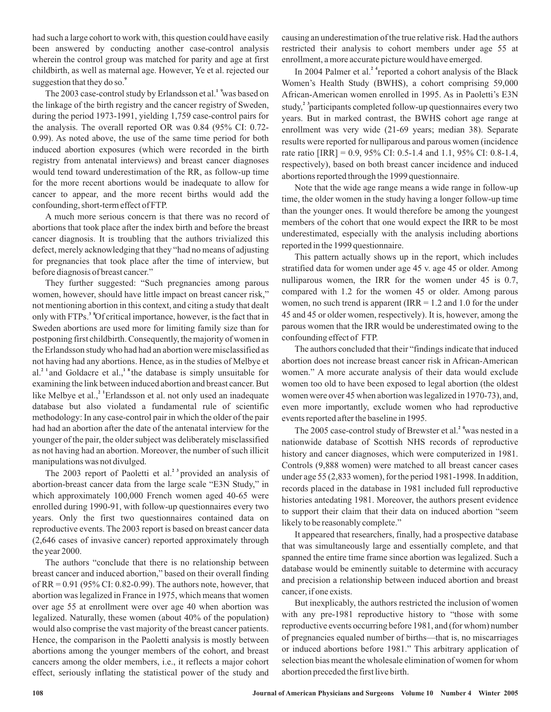had such a large cohort to work with, this question could have easily been answered by conducting another case-control analysis wherein the control group was matched for parity and age at first childbirth, as well as maternal age. However, Ye et al. rejected our suggestion that they do so. **9**

The 2003 case-control study by Erlandsson et al.<sup>1</sup> <sup>9</sup> was based on the linkage of the birth registry and the cancer registry of Sweden, during the period 1973-1991, yielding 1,759 case-control pairs for the analysis. The overall reported OR was 0.84 (95% CI: 0.72- 0.99). As noted above, the use of the same time period for both induced abortion exposures (which were recorded in the birth registry from antenatal interviews) and breast cancer diagnoses would tend toward underestimation of the RR, as follow-up time for the more recent abortions would be inadequate to allow for cancer to appear, and the more recent births would add the confounding, short-term effect of FTP.

A much more serious concern is that there was no record of abortions that took place after the index birth and before the breast cancer diagnosis. It is troubling that the authors trivialized this defect, merely acknowledging that they "had no means of adjusting for pregnancies that took place after the time of interview, but before diagnosis of breast cancer."

They further suggested: "Such pregnancies among parous women, however, should have little impact on breast cancer risk," not mentioning abortion in this context, and citing a study that dealt only with FTPs.<sup>3</sup> <sup>8</sup>Of critical importance, however, is the fact that in Sweden abortions are used more for limiting family size than for postponing first childbirth. Consequently, the majority of women in the Erlandsson study who had had an abortion were misclassified as not having had any abortions. Hence, as in the studies of Melbye et al.<sup>21</sup> and Goldacre et al.,<sup>18</sup> the database is simply unsuitable for examining the link between induced abortion and breast cancer. But like Melbye et al.,<sup>2</sup> Erlandsson et al. not only used an inadequate database but also violated a fundamental rule of scientific methodology: In any case-control pair in which the older of the pair had had an abortion after the date of the antenatal interview for the younger of the pair, the older subject was deliberately misclassified as not having had an abortion. Moreover, the number of such illicit manipulations was not divulged.

The 2003 report of Paoletti et al.<sup>23</sup> provided an analysis of abortion-breast cancer data from the large scale "E3N Study," in which approximately 100,000 French women aged 40-65 were enrolled during 1990-91, with follow-up questionnaires every two years. Only the first two questionnaires contained data on reproductive events. The 2003 report is based on breast cancer data (2,646 cases of invasive cancer) reported approximately through the year 2000.

The authors "conclude that there is no relationship between breast cancer and induced abortion," based on their overall finding of RR =  $0.91$  (95% CI:  $0.82$ - $0.99$ ). The authors note, however, that abortion was legalized in France in 1975, which means that women over age 55 at enrollment were over age 40 when abortion was legalized. Naturally, these women (about 40% of the population) would also comprise the vast majority of the breast cancer patients. Hence, the comparison in the Paoletti analysis is mostly between abortions among the younger members of the cohort, and breast cancers among the older members, i.e., it reflects a major cohort effect, seriously inflating the statistical power of the study and

causing an underestimation of the true relative risk. Had the authors restricted their analysis to cohort members under age 55 at enrollment, a more accurate picture would have emerged.

In 2004 Palmer et al.<sup>2</sup> <sup>4</sup> reported a cohort analysis of the Black Women's Health Study (BWHS), a cohort comprising 59,000 African-American women enrolled in 1995. As in Paoletti's E3N study,<sup>2</sup> <sup>3</sup> participants completed follow-up questionnaires every two years. But in marked contrast, the BWHS cohort age range at enrollment was very wide (21-69 years; median 38). Separate results were reported for nulliparous and parous women (incidence rate ratio [IRR] = 0.9, 95% CI: 0.5-1.4 and 1.1, 95% CI: 0.8-1.4, respectively), based on both breast cancer incidence and induced abortions reported through the 1999 questionnaire.

Note that the wide age range means a wide range in follow-up time, the older women in the study having a longer follow-up time than the younger ones. It would therefore be among the youngest members of the cohort that one would expect the IRR to be most underestimated, especially with the analysis including abortions reported in the 1999 questionnaire.

This pattern actually shows up in the report, which includes stratified data for women under age 45 v. age 45 or older. Among nulliparous women, the IRR for the women under 45 is 0.7, compared with 1.2 for the women 45 or older. Among parous women, no such trend is apparent (IRR  $= 1.2$  and 1.0 for the under 45 and 45 or older women, respectively). It is, however, among the parous women that the IRR would be underestimated owing to the confounding effect of FTP.

The authors concluded that their "findings indicate that induced abortion does not increase breast cancer risk in African-American women." A more accurate analysis of their data would exclude women too old to have been exposed to legal abortion (the oldest women were over 45 when abortion was legalized in 1970-73), and, even more importantly, exclude women who had reproductive events reported after the baseline in 1995.

The 2005 case-control study of Brewster et al.<sup>2</sup> was nested in a nationwide database of Scottish NHS records of reproductive history and cancer diagnoses, which were computerized in 1981. Controls (9,888 women) were matched to all breast cancer cases under age 55 (2,833 women), for the period 1981-1998. In addition, records placed in the database in 1981 included full reproductive histories antedating 1981. Moreover, the authors present evidence to support their claim that their data on induced abortion "seem likely to be reasonably complete."

It appeared that researchers, finally, had a prospective database that was simultaneously large and essentially complete, and that spanned the entire time frame since abortion was legalized. Such a database would be eminently suitable to determine with accuracy and precision a relationship between induced abortion and breast cancer, if one exists.

But inexplicably, the authors restricted the inclusion of women with any pre-1981 reproductive history to "those with some reproductive events occurring before 1981, and (for whom) number of pregnancies equaled number of births—that is, no miscarriages or induced abortions before 1981." This arbitrary application of selection bias meant the wholesale elimination of women for whom abortion preceded the first live birth.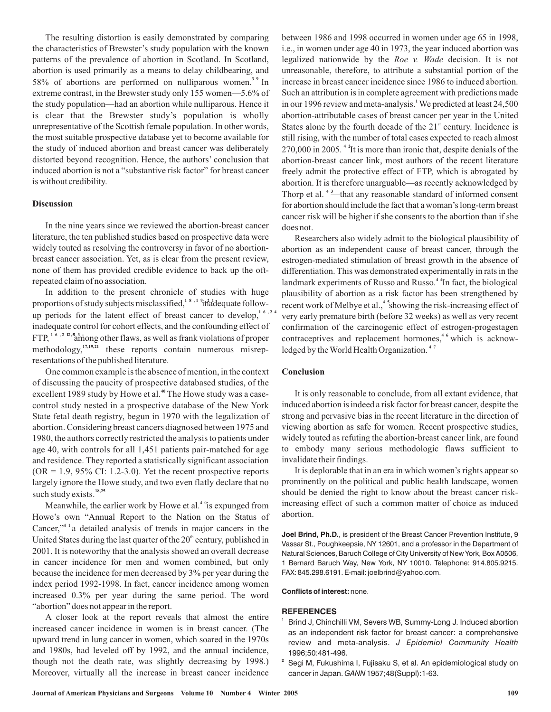The resulting distortion is easily demonstrated by comparing the characteristics of Brewster's study population with the known patterns of the prevalence of abortion in Scotland. In Scotland, abortion is used primarily as a means to delay childbearing, and 58% of abortions are performed on nulliparous women.<sup>3</sup> In extreme contrast, in the Brewster study only 155 women—5.6% of the study population—had an abortion while nulliparous. Hence it is clear that the Brewster study's population is wholly unrepresentative of the Scottish female population. In other words, the most suitable prospective database yet to become available for the study of induced abortion and breast cancer was deliberately distorted beyond recognition. Hence, the authors' conclusion that induced abortion is not a "substantive risk factor" for breast cancer is without credibility.

#### **Discussion**

In the nine years since we reviewed the abortion-breast cancer literature, the ten published studies based on prospective data were widely touted as resolving the controversy in favor of no abortionbreast cancer association. Yet, as is clear from the present review, none of them has provided credible evidence to back up the oftrepeated claim of no association.

In addition to the present chronicle of studies with huge proportions of study subjects misclassified,<sup>18,19</sup> inadequate followup periods for the latent effect of breast cancer to develop,<sup>16,24</sup> inadequate control for cohort effects, and the confounding effect of FTP, <sup>16, 2 12, <sup>3</sup> among other flaws, as well as frank violations of proper</sup> methodology,<sup>17,19,21</sup> these reports contain numerous misrepresentations of the published literature.

One common example is the absence of mention, in the context of discussing the paucity of prospective databased studies, of the excellent 1989 study by Howe et al.<sup>40</sup> The Howe study was a casecontrol study nested in a prospective database of the New York State fetal death registry, begun in 1970 with the legalization of abortion. Considering breast cancers diagnosed between 1975 and 1980, the authors correctly restricted the analysis to patients under age 40, with controls for all 1,451 patients pair-matched for age and residence. They reported a statistically significant association  $(OR = 1.9, 95\% \text{ CI: } 1.2 - 3.0)$ . Yet the recent prospective reports largely ignore the Howe study, and two even flatly declare that no such study exists. **18,25**

Meanwhile, the earlier work by Howe et al.<sup>4</sup> <sup>o</sup>is expunged from Howe's own "Annual Report to the Nation on the Status of Cancer,"<sup>4</sup> <sup>1</sup> a detailed analysis of trends in major cancers in the United States during the last quarter of the  $20<sup>th</sup>$  century, published in 2001. It is noteworthy that the analysis showed an overall decrease in cancer incidence for men and women combined, but only because the incidence for men decreased by 3% per year during the index period 1992-1998. In fact, cancer incidence among women increased 0.3% per year during the same period. The word "abortion" does not appear in the report.

A closer look at the report reveals that almost the entire increased cancer incidence in women is in breast cancer. (The upward trend in lung cancer in women, which soared in the 1970s and 1980s, had leveled off by 1992, and the annual incidence, though not the death rate, was slightly decreasing by 1998.) Moreover, virtually all the increase in breast cancer incidence between 1986 and 1998 occurred in women under age 65 in 1998, i.e., in women under age 40 in 1973, the year induced abortion was legalized nationwide by the *Roe v. Wade* decision. It is not unreasonable, therefore, to attribute a substantial portion of the increase in breast cancer incidence since 1986 to induced abortion. Such an attribution is in complete agreement with predictions made in our 1996 review and meta-analysis.<sup>1</sup> We predicted at least 24,500 abortion-attributable cases of breast cancer per year in the United States alone by the fourth decade of the  $21<sup>st</sup>$  century. Incidence is still rising, with the number of total cases expected to reach almost 270,000 in 2005.<sup>4</sup> <sup>2</sup>It is more than ironic that, despite denials of the abortion-breast cancer link, most authors of the recent literature freely admit the protective effect of FTP, which is abrogated by abortion. It is therefore unarguable—as recently acknowledged by Thorp et al.<sup>43</sup>—that any reasonable standard of informed consent for abortion should include the fact that a woman's long-term breast cancer risk will be higher if she consents to the abortion than if she does not.

Researchers also widely admit to the biological plausibility of abortion as an independent cause of breast cancer, through the estrogen-mediated stimulation of breast growth in the absence of differentiation. This was demonstrated experimentally in rats in the landmark experiments of Russo and Russo.<sup>44</sup> In fact, the biological plausibility of abortion as a risk factor has been strengthened by recent work of Melbye et al.,<sup>4</sup> <sup>5</sup> showing the risk-increasing effect of very early premature birth (before 32 weeks) as well as very recent confirmation of the carcinogenic effect of estrogen-progestagen contraceptives and replacement hormones,<sup>46</sup> which is acknowledged by theWorld Health Organization. **4 7**

# **Conclusion**

It is only reasonable to conclude, from all extant evidence, that induced abortion is indeed a risk factor for breast cancer, despite the strong and pervasive bias in the recent literature in the direction of viewing abortion as safe for women. Recent prospective studies, widely touted as refuting the abortion-breast cancer link, are found to embody many serious methodologic flaws sufficient to invalidate their findings.

It is deplorable that in an era in which women's rights appear so prominently on the political and public health landscape, women should be denied the right to know about the breast cancer riskincreasing effect of such a common matter of choice as induced abortion.

**Joel Brind, Ph.D.**, is president of the Breast Cancer Prevention Institute, 9 Vassar St., Poughkeepsie, NY 12601, and a professor in the Department of Natural Sciences, Baruch College of City University of New York, Box A0506, 1 Bernard Baruch Way, New York, NY 10010. Telephone: 914.805.9215. FAX: 845.298.6191. E-mail: joelbrind@yahoo.com.

#### **Conflicts of interest:** none.

#### **REFERENCES**

- **1** Brind J, Chinchilli VM, Severs WB, Summy-Long J. Induced abortion as an independent risk factor for breast cancer: a comprehensive review and meta-analysis. *J Epidemiol Community Health* 1996;50:481-496.
- **2** Segi M, Fukushima I, Fujisaku S, et al. An epidemiological study on cancer in Japan. GANN 1957;48(Suppl):1-63.